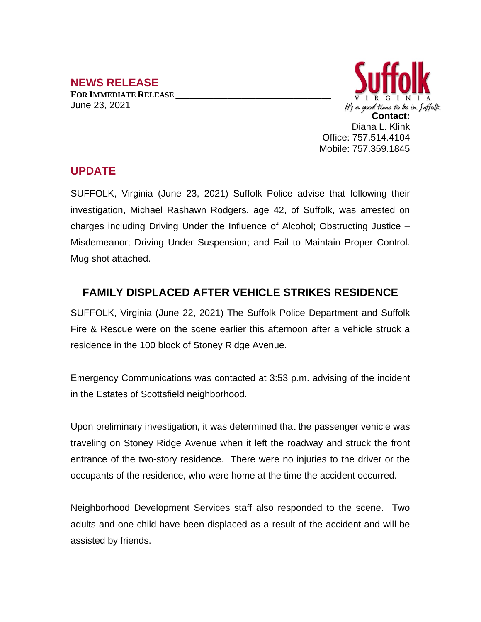## **NEWS RELEASE**

**FOR IMMEDIATE RELEASE \_\_\_\_\_\_\_\_\_\_\_\_\_\_\_\_\_\_\_\_\_\_\_\_\_\_\_\_\_\_\_\_\_** June 23, 2021



## **UPDATE**

SUFFOLK, Virginia (June 23, 2021) Suffolk Police advise that following their investigation, Michael Rashawn Rodgers, age 42, of Suffolk, was arrested on charges including Driving Under the Influence of Alcohol; Obstructing Justice – Misdemeanor; Driving Under Suspension; and Fail to Maintain Proper Control. Mug shot attached.

## **FAMILY DISPLACED AFTER VEHICLE STRIKES RESIDENCE**

SUFFOLK, Virginia (June 22, 2021) The Suffolk Police Department and Suffolk Fire & Rescue were on the scene earlier this afternoon after a vehicle struck a residence in the 100 block of Stoney Ridge Avenue.

Emergency Communications was contacted at 3:53 p.m. advising of the incident in the Estates of Scottsfield neighborhood.

Upon preliminary investigation, it was determined that the passenger vehicle was traveling on Stoney Ridge Avenue when it left the roadway and struck the front entrance of the two-story residence. There were no injuries to the driver or the occupants of the residence, who were home at the time the accident occurred.

Neighborhood Development Services staff also responded to the scene. Two adults and one child have been displaced as a result of the accident and will be assisted by friends.